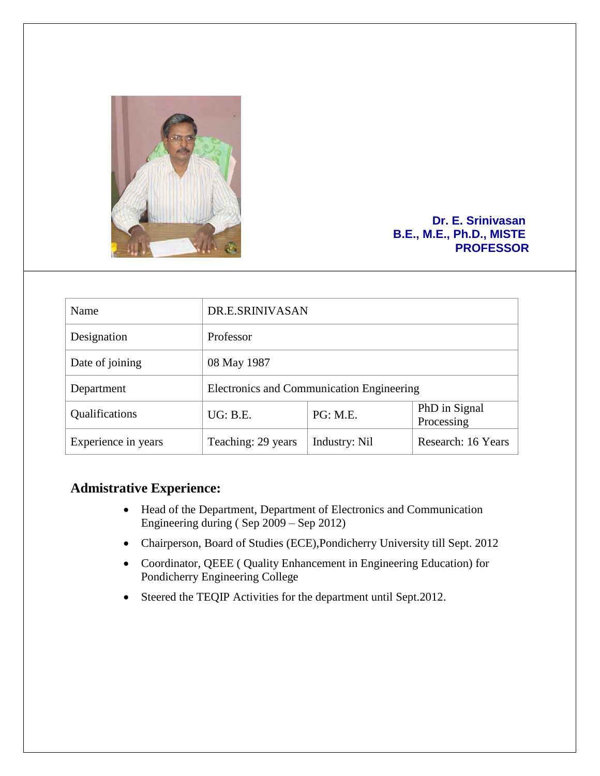

#### **Dr. E. Srinivasan B.E., M.E., Ph.D., MISTE PROFESSOR**

| Name                | DR.E.SRINIVASAN                           |               |                             |
|---------------------|-------------------------------------------|---------------|-----------------------------|
| Designation         | Professor                                 |               |                             |
| Date of joining     | 08 May 1987                               |               |                             |
| Department          | Electronics and Communication Engineering |               |                             |
| Qualifications      | UG: B.E.                                  | PG: M.E.      | PhD in Signal<br>Processing |
| Experience in years | Teaching: 29 years                        | Industry: Nil | Research: 16 Years          |

## **Admistrative Experience:**

- Head of the Department, Department of Electronics and Communication Engineering during ( Sep 2009 – Sep 2012)
- Chairperson, Board of Studies (ECE),Pondicherry University till Sept. 2012
- Coordinator, QEEE ( Quality Enhancement in Engineering Education) for Pondicherry Engineering College
- Steered the TEQIP Activities for the department until Sept.2012.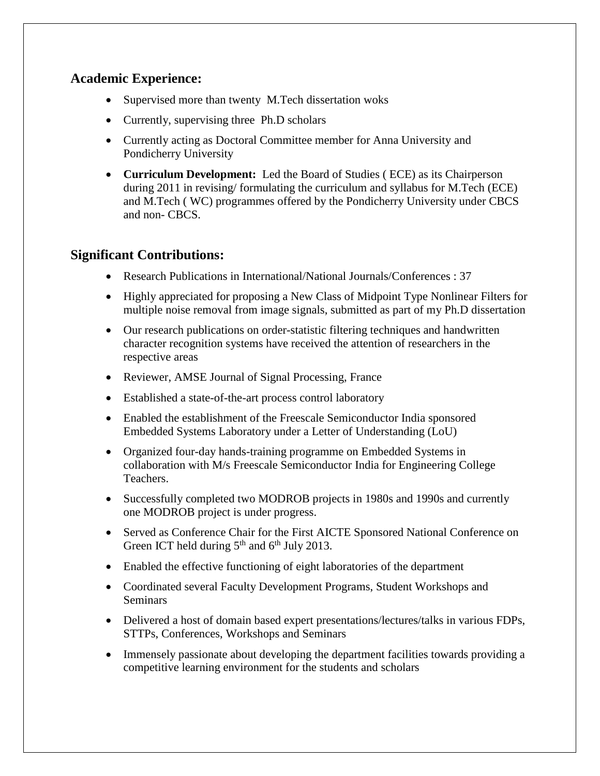## **Academic Experience:**

- Supervised more than twenty M.Tech dissertation woks
- Currently, supervising three Ph.D scholars
- Currently acting as Doctoral Committee member for Anna University and Pondicherry University
- **Curriculum Development:** Led the Board of Studies ( ECE) as its Chairperson during 2011 in revising/ formulating the curriculum and syllabus for M.Tech (ECE) and M.Tech ( WC) programmes offered by the Pondicherry University under CBCS and non- CBCS.

# **Significant Contributions:**

- Research Publications in International/National Journals/Conferences : 37
- Highly appreciated for proposing a New Class of Midpoint Type Nonlinear Filters for multiple noise removal from image signals, submitted as part of my Ph.D dissertation
- Our research publications on order-statistic filtering techniques and handwritten character recognition systems have received the attention of researchers in the respective areas
- Reviewer, AMSE Journal of Signal Processing, France
- Established a state-of-the-art process control laboratory
- Enabled the establishment of the Freescale Semiconductor India sponsored Embedded Systems Laboratory under a Letter of Understanding (LoU)
- Organized four-day hands-training programme on Embedded Systems in collaboration with M/s Freescale Semiconductor India for Engineering College Teachers.
- Successfully completed two MODROB projects in 1980s and 1990s and currently one MODROB project is under progress.
- Served as Conference Chair for the First AICTE Sponsored National Conference on Green ICT held during  $5<sup>th</sup>$  and  $6<sup>th</sup>$  July 2013.
- Enabled the effective functioning of eight laboratories of the department
- Coordinated several Faculty Development Programs, Student Workshops and Seminars
- Delivered a host of domain based expert presentations/lectures/talks in various FDPs, STTPs, Conferences, Workshops and Seminars
- Immensely passionate about developing the department facilities towards providing a competitive learning environment for the students and scholars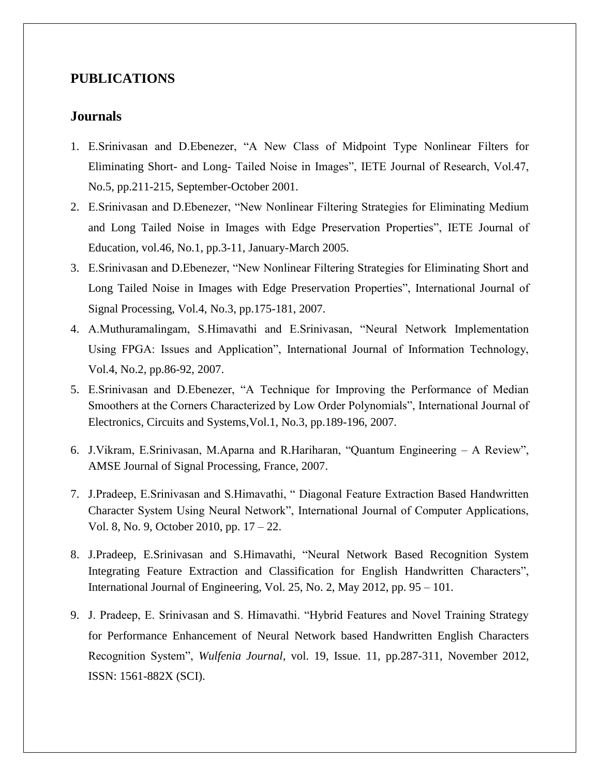### **PUBLICATIONS**

### **Journals**

- 1. E.Srinivasan and D.Ebenezer, "A New Class of Midpoint Type Nonlinear Filters for Eliminating Short- and Long- Tailed Noise in Images", IETE Journal of Research, Vol.47, No.5, pp.211-215, September-October 2001.
- 2. E.Srinivasan and D.Ebenezer, "New Nonlinear Filtering Strategies for Eliminating Medium and Long Tailed Noise in Images with Edge Preservation Properties", IETE Journal of Education, vol.46, No.1, pp.3-11, January-March 2005.
- 3. E.Srinivasan and D.Ebenezer, "New Nonlinear Filtering Strategies for Eliminating Short and Long Tailed Noise in Images with Edge Preservation Properties", International Journal of Signal Processing, Vol.4, No.3, pp.175-181, 2007.
- 4. A.Muthuramalingam, S.Himavathi and E.Srinivasan, "Neural Network Implementation Using FPGA: Issues and Application", International Journal of Information Technology, Vol.4, No.2, pp.86-92, 2007.
- 5. E.Srinivasan and D.Ebenezer, "A Technique for Improving the Performance of Median Smoothers at the Corners Characterized by Low Order Polynomials", International Journal of Electronics, Circuits and Systems,Vol.1, No.3, pp.189-196, 2007.
- 6. J.Vikram, E.Srinivasan, M.Aparna and R.Hariharan, "Quantum Engineering A Review", AMSE Journal of Signal Processing, France, 2007.
- 7. J.Pradeep, E.Srinivasan and S.Himavathi, " Diagonal Feature Extraction Based Handwritten Character System Using Neural Network", International Journal of Computer Applications, Vol. 8, No. 9, October 2010, pp. 17 – 22.
- 8. J.Pradeep, E.Srinivasan and S.Himavathi, "Neural Network Based Recognition System Integrating Feature Extraction and Classification for English Handwritten Characters", International Journal of Engineering, Vol. 25, No. 2, May 2012, pp. 95 – 101.
- 9. J. Pradeep, E. Srinivasan and S. Himavathi. "Hybrid Features and Novel Training Strategy for Performance Enhancement of Neural Network based Handwritten English Characters Recognition System", *Wulfenia Journal*, vol. 19, Issue. 11, pp.287-311, November 2012, ISSN: 1561-882X (SCI).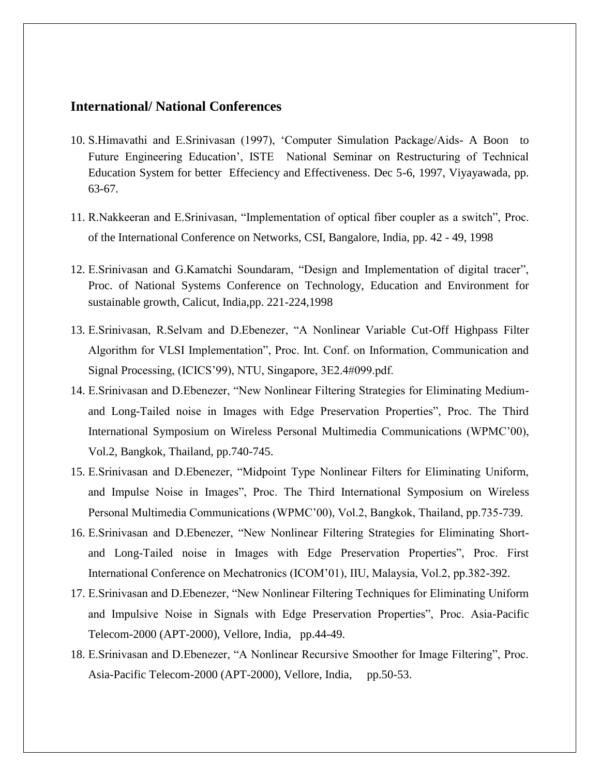#### **International/ National Conferences**

- 10. S.Himavathi and E.Srinivasan (1997), 'Computer Simulation Package/Aids- A Boon to Future Engineering Education', ISTE National Seminar on Restructuring of Technical Education System for better Effeciency and Effectiveness. Dec 5-6, 1997, Viyayawada, pp. 63-67.
- 11. R.Nakkeeran and E.Srinivasan, "Implementation of optical fiber coupler as a switch", Proc. of the International Conference on Networks, CSI, Bangalore, India, pp. 42 - 49, 1998
- 12. E.Srinivasan and G.Kamatchi Soundaram, "Design and Implementation of digital tracer", Proc. of National Systems Conference on Technology, Education and Environment for sustainable growth, Calicut, India,pp. 221-224,1998
- 13. E.Srinivasan, R.Selvam and D.Ebenezer, "A Nonlinear Variable Cut-Off Highpass Filter Algorithm for VLSI Implementation", Proc. Int. Conf. on Information, Communication and Signal Processing, (ICICS'99), NTU, Singapore, 3E2.4#099.pdf.
- 14. E.Srinivasan and D.Ebenezer, "New Nonlinear Filtering Strategies for Eliminating Mediumand Long-Tailed noise in Images with Edge Preservation Properties", Proc. The Third International Symposium on Wireless Personal Multimedia Communications (WPMC'00), Vol.2, Bangkok, Thailand, pp.740-745.
- 15. E.Srinivasan and D.Ebenezer, "Midpoint Type Nonlinear Filters for Eliminating Uniform, and Impulse Noise in Images", Proc. The Third International Symposium on Wireless Personal Multimedia Communications (WPMC'00), Vol.2, Bangkok, Thailand, pp.735-739.
- 16. E.Srinivasan and D.Ebenezer, "New Nonlinear Filtering Strategies for Eliminating Shortand Long-Tailed noise in Images with Edge Preservation Properties", Proc. First International Conference on Mechatronics (ICOM'01), IIU, Malaysia, Vol.2, pp.382-392.
- 17. E.Srinivasan and D.Ebenezer, "New Nonlinear Filtering Techniques for Eliminating Uniform and Impulsive Noise in Signals with Edge Preservation Properties", Proc. Asia-Pacific Telecom-2000 (APT-2000), Vellore, India, pp.44-49.
- 18. E.Srinivasan and D.Ebenezer, "A Nonlinear Recursive Smoother for Image Filtering", Proc. Asia-Pacific Telecom-2000 (APT-2000), Vellore, India, pp.50-53.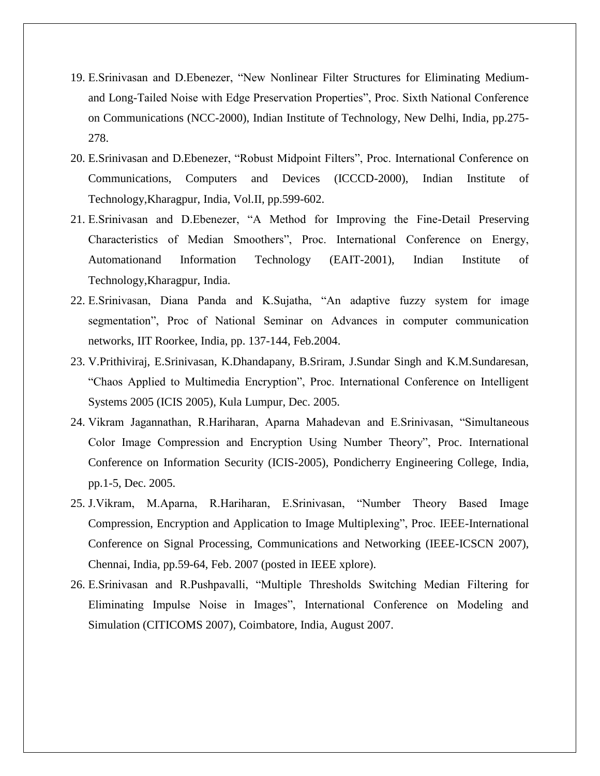- 19. E.Srinivasan and D.Ebenezer, "New Nonlinear Filter Structures for Eliminating Mediumand Long-Tailed Noise with Edge Preservation Properties", Proc. Sixth National Conference on Communications (NCC-2000), Indian Institute of Technology, New Delhi, India, pp.275- 278.
- 20. E.Srinivasan and D.Ebenezer, "Robust Midpoint Filters", Proc. International Conference on Communications, Computers and Devices (ICCCD-2000), Indian Institute of Technology,Kharagpur, India, Vol.II, pp.599-602.
- 21. E.Srinivasan and D.Ebenezer, "A Method for Improving the Fine-Detail Preserving Characteristics of Median Smoothers", Proc. International Conference on Energy, Automationand Information Technology (EAIT-2001), Indian Institute of Technology,Kharagpur, India.
- 22. E.Srinivasan, Diana Panda and K.Sujatha, "An adaptive fuzzy system for image segmentation", Proc of National Seminar on Advances in computer communication networks, IIT Roorkee, India, pp. 137-144, Feb.2004.
- 23. V.Prithiviraj, E.Srinivasan, K.Dhandapany, B.Sriram, J.Sundar Singh and K.M.Sundaresan, "Chaos Applied to Multimedia Encryption", Proc. International Conference on Intelligent Systems 2005 (ICIS 2005), Kula Lumpur, Dec. 2005.
- 24. Vikram Jagannathan, R.Hariharan, Aparna Mahadevan and E.Srinivasan, "Simultaneous Color Image Compression and Encryption Using Number Theory", Proc. International Conference on Information Security (ICIS-2005), Pondicherry Engineering College, India, pp.1-5, Dec. 2005.
- 25. J.Vikram, M.Aparna, R.Hariharan, E.Srinivasan, "Number Theory Based Image Compression, Encryption and Application to Image Multiplexing", Proc. IEEE-International Conference on Signal Processing, Communications and Networking (IEEE-ICSCN 2007), Chennai, India, pp.59-64, Feb. 2007 (posted in IEEE xplore).
- 26. E.Srinivasan and R.Pushpavalli, "Multiple Thresholds Switching Median Filtering for Eliminating Impulse Noise in Images", International Conference on Modeling and Simulation (CITICOMS 2007), Coimbatore, India, August 2007.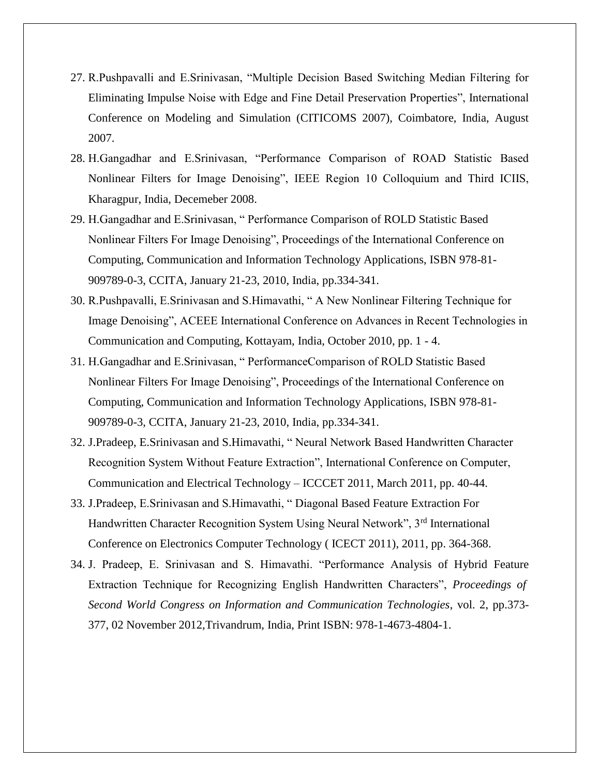- 27. R.Pushpavalli and E.Srinivasan, "Multiple Decision Based Switching Median Filtering for Eliminating Impulse Noise with Edge and Fine Detail Preservation Properties", International Conference on Modeling and Simulation (CITICOMS 2007), Coimbatore, India, August 2007.
- 28. H.Gangadhar and E.Srinivasan, "Performance Comparison of ROAD Statistic Based Nonlinear Filters for Image Denoising", IEEE Region 10 Colloquium and Third ICIIS, Kharagpur, India, Decemeber 2008.
- 29. H.Gangadhar and E.Srinivasan, " Performance Comparison of ROLD Statistic Based Nonlinear Filters For Image Denoising", Proceedings of the International Conference on Computing, Communication and Information Technology Applications, ISBN 978-81- 909789-0-3, CCITA, January 21-23, 2010, India, pp.334-341.
- 30. R.Pushpavalli, E.Srinivasan and S.Himavathi, " A New Nonlinear Filtering Technique for Image Denoising", ACEEE International Conference on Advances in Recent Technologies in Communication and Computing, Kottayam, India, October 2010, pp. 1 - 4.
- 31. H.Gangadhar and E.Srinivasan, " PerformanceComparison of ROLD Statistic Based Nonlinear Filters For Image Denoising", Proceedings of the International Conference on Computing, Communication and Information Technology Applications, ISBN 978-81- 909789-0-3, CCITA, January 21-23, 2010, India, pp.334-341.
- 32. J.Pradeep, E.Srinivasan and S.Himavathi, " Neural Network Based Handwritten Character Recognition System Without Feature Extraction", International Conference on Computer, Communication and Electrical Technology – ICCCET 2011, March 2011, pp. 40-44.
- 33. J.Pradeep, E.Srinivasan and S.Himavathi, " Diagonal Based Feature Extraction For Handwritten Character Recognition System Using Neural Network", 3<sup>rd</sup> International Conference on Electronics Computer Technology ( ICECT 2011), 2011, pp. 364-368.
- 34. J. Pradeep, E. Srinivasan and S. Himavathi. "Performance Analysis of Hybrid Feature Extraction Technique for Recognizing English Handwritten Characters", *Proceedings of Second World Congress on Information and Communication Technologies*, vol. 2, pp.373- 377, 02 November 2012,Trivandrum, India, Print ISBN: 978-1-4673-4804-1.